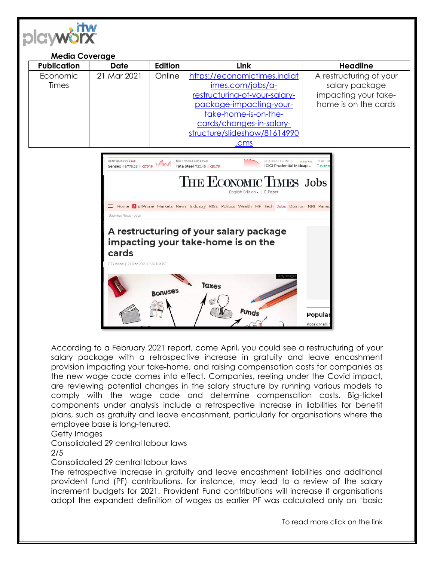

#### **Media Coverage Publication Date Edition Link Headline**  Economic Times 21 Mar 2021 | Online | [https://economictimes.indiat](https://economictimes.indiatimes.com/jobs/a-restructuring-of-your-salary-package-impacting-your-take-home-is-on-the-cards/changes-in-salary-structure/slideshow/81614990.cms) [imes.com/jobs/a](https://economictimes.indiatimes.com/jobs/a-restructuring-of-your-salary-package-impacting-your-take-home-is-on-the-cards/changes-in-salary-structure/slideshow/81614990.cms)[restructuring-of-your-salary](https://economictimes.indiatimes.com/jobs/a-restructuring-of-your-salary-package-impacting-your-take-home-is-on-the-cards/changes-in-salary-structure/slideshow/81614990.cms)[package-impacting-your](https://economictimes.indiatimes.com/jobs/a-restructuring-of-your-salary-package-impacting-your-take-home-is-on-the-cards/changes-in-salary-structure/slideshow/81614990.cms)[take-home-is-on-the](https://economictimes.indiatimes.com/jobs/a-restructuring-of-your-salary-package-impacting-your-take-home-is-on-the-cards/changes-in-salary-structure/slideshow/81614990.cms)[cards/changes-in-salary](https://economictimes.indiatimes.com/jobs/a-restructuring-of-your-salary-package-impacting-your-take-home-is-on-the-cards/changes-in-salary-structure/slideshow/81614990.cms)[structure/slideshow/81614990](https://economictimes.indiatimes.com/jobs/a-restructuring-of-your-salary-package-impacting-your-take-home-is-on-the-cards/changes-in-salary-structure/slideshow/81614990.cms) [.cms](https://economictimes.indiatimes.com/jobs/a-restructuring-of-your-salary-package-impacting-your-take-home-is-on-the-cards/changes-in-salary-structure/slideshow/81614990.cms) A restructuring of your salary package impacting your takehome is on the cards



According to a February 2021 report, come April, you could see a restructuring of your salary package with a retrospective increase in gratuity and leave encashment provision impacting your take-home, and raising compensation costs for companies as the new wage code comes into effect. Companies, reeling under the Covid impact, are reviewing potential changes in the salary structure by running various models to comply with the wage code and determine compensation costs. Big-ticket components under analysis include a retrospective increase in liabilities for benefit plans, such as gratuity and leave encashment, particularly for organisations where the employee base is long-tenured.

Getty Images

Consolidated 29 central labour laws

# 2/5

Consolidated 29 central labour laws

The retrospective increase in gratuity and leave encashment liabilities and additional provident fund (PF) contributions, for instance, may lead to a review of the salary increment budgets for 2021. Provident Fund contributions will increase if organisations adopt the expanded definition of wages as earlier PF was calculated only on 'basic

To read more click on the link